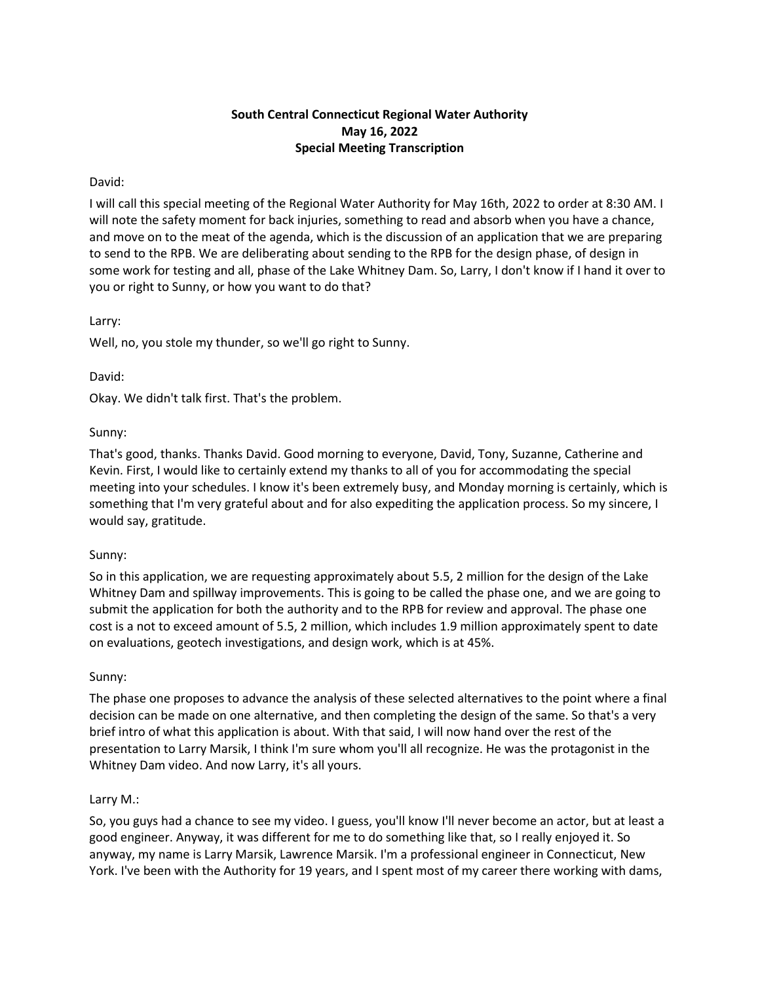# **South Central Connecticut Regional Water Authority May 16, 2022 Special Meeting Transcription**

# David:

I will call this special meeting of the Regional Water Authority for May 16th, 2022 to order at 8:30 AM. I will note the safety moment for back injuries, something to read and absorb when you have a chance, and move on to the meat of the agenda, which is the discussion of an application that we are preparing to send to the RPB. We are deliberating about sending to the RPB for the design phase, of design in some work for testing and all, phase of the Lake Whitney Dam. So, Larry, I don't know if I hand it over to you or right to Sunny, or how you want to do that?

# Larry:

Well, no, you stole my thunder, so we'll go right to Sunny.

# David:

Okay. We didn't talk first. That's the problem.

# Sunny:

That's good, thanks. Thanks David. Good morning to everyone, David, Tony, Suzanne, Catherine and Kevin. First, I would like to certainly extend my thanks to all of you for accommodating the special meeting into your schedules. I know it's been extremely busy, and Monday morning is certainly, which is something that I'm very grateful about and for also expediting the application process. So my sincere, I would say, gratitude.

# Sunny:

So in this application, we are requesting approximately about 5.5, 2 million for the design of the Lake Whitney Dam and spillway improvements. This is going to be called the phase one, and we are going to submit the application for both the authority and to the RPB for review and approval. The phase one cost is a not to exceed amount of 5.5, 2 million, which includes 1.9 million approximately spent to date on evaluations, geotech investigations, and design work, which is at 45%.

# Sunny:

The phase one proposes to advance the analysis of these selected alternatives to the point where a final decision can be made on one alternative, and then completing the design of the same. So that's a very brief intro of what this application is about. With that said, I will now hand over the rest of the presentation to Larry Marsik, I think I'm sure whom you'll all recognize. He was the protagonist in the Whitney Dam video. And now Larry, it's all yours.

# Larry M.:

So, you guys had a chance to see my video. I guess, you'll know I'll never become an actor, but at least a good engineer. Anyway, it was different for me to do something like that, so I really enjoyed it. So anyway, my name is Larry Marsik, Lawrence Marsik. I'm a professional engineer in Connecticut, New York. I've been with the Authority for 19 years, and I spent most of my career there working with dams,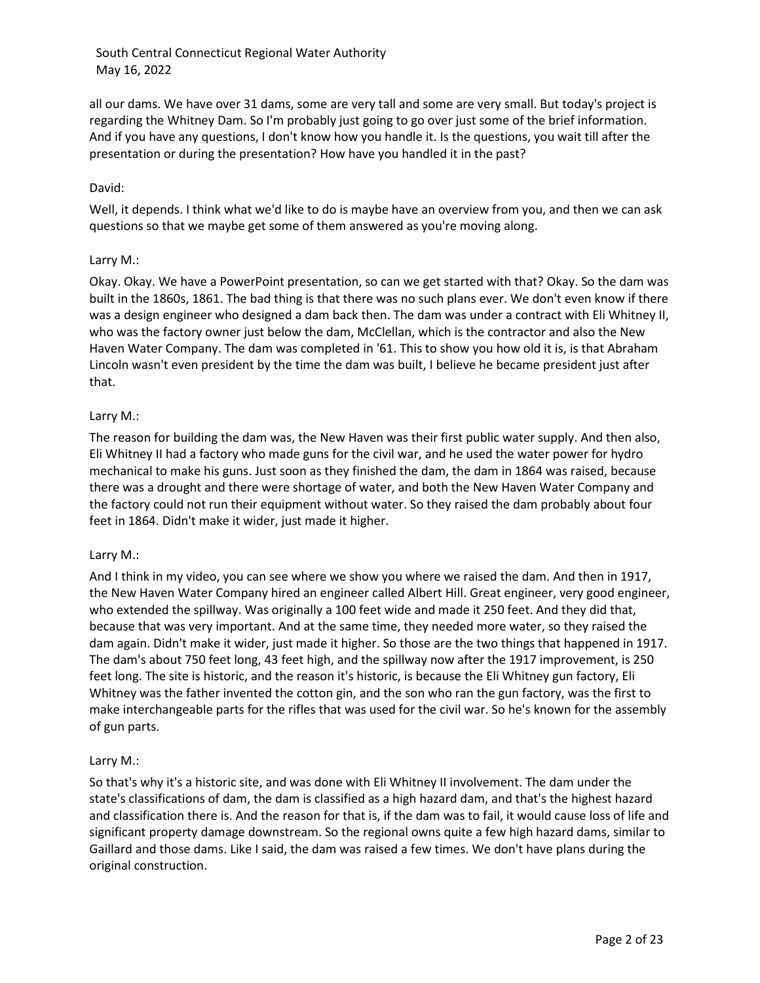all our dams. We have over 31 dams, some are very tall and some are very small. But today's project is regarding the Whitney Dam. So I'm probably just going to go over just some of the brief information. And if you have any questions, I don't know how you handle it. Is the questions, you wait till after the presentation or during the presentation? How have you handled it in the past?

## David:

Well, it depends. I think what we'd like to do is maybe have an overview from you, and then we can ask questions so that we maybe get some of them answered as you're moving along.

## Larry M.:

Okay. Okay. We have a PowerPoint presentation, so can we get started with that? Okay. So the dam was built in the 1860s, 1861. The bad thing is that there was no such plans ever. We don't even know if there was a design engineer who designed a dam back then. The dam was under a contract with Eli Whitney II, who was the factory owner just below the dam, McClellan, which is the contractor and also the New Haven Water Company. The dam was completed in '61. This to show you how old it is, is that Abraham Lincoln wasn't even president by the time the dam was built, I believe he became president just after that.

## Larry M.:

The reason for building the dam was, the New Haven was their first public water supply. And then also, Eli Whitney II had a factory who made guns for the civil war, and he used the water power for hydro mechanical to make his guns. Just soon as they finished the dam, the dam in 1864 was raised, because there was a drought and there were shortage of water, and both the New Haven Water Company and the factory could not run their equipment without water. So they raised the dam probably about four feet in 1864. Didn't make it wider, just made it higher.

#### Larry M.:

And I think in my video, you can see where we show you where we raised the dam. And then in 1917, the New Haven Water Company hired an engineer called Albert Hill. Great engineer, very good engineer, who extended the spillway. Was originally a 100 feet wide and made it 250 feet. And they did that, because that was very important. And at the same time, they needed more water, so they raised the dam again. Didn't make it wider, just made it higher. So those are the two things that happened in 1917. The dam's about 750 feet long, 43 feet high, and the spillway now after the 1917 improvement, is 250 feet long. The site is historic, and the reason it's historic, is because the Eli Whitney gun factory, Eli Whitney was the father invented the cotton gin, and the son who ran the gun factory, was the first to make interchangeable parts for the rifles that was used for the civil war. So he's known for the assembly of gun parts.

# Larry M.:

So that's why it's a historic site, and was done with Eli Whitney II involvement. The dam under the state's classifications of dam, the dam is classified as a high hazard dam, and that's the highest hazard and classification there is. And the reason for that is, if the dam was to fail, it would cause loss of life and significant property damage downstream. So the regional owns quite a few high hazard dams, similar to Gaillard and those dams. Like I said, the dam was raised a few times. We don't have plans during the original construction.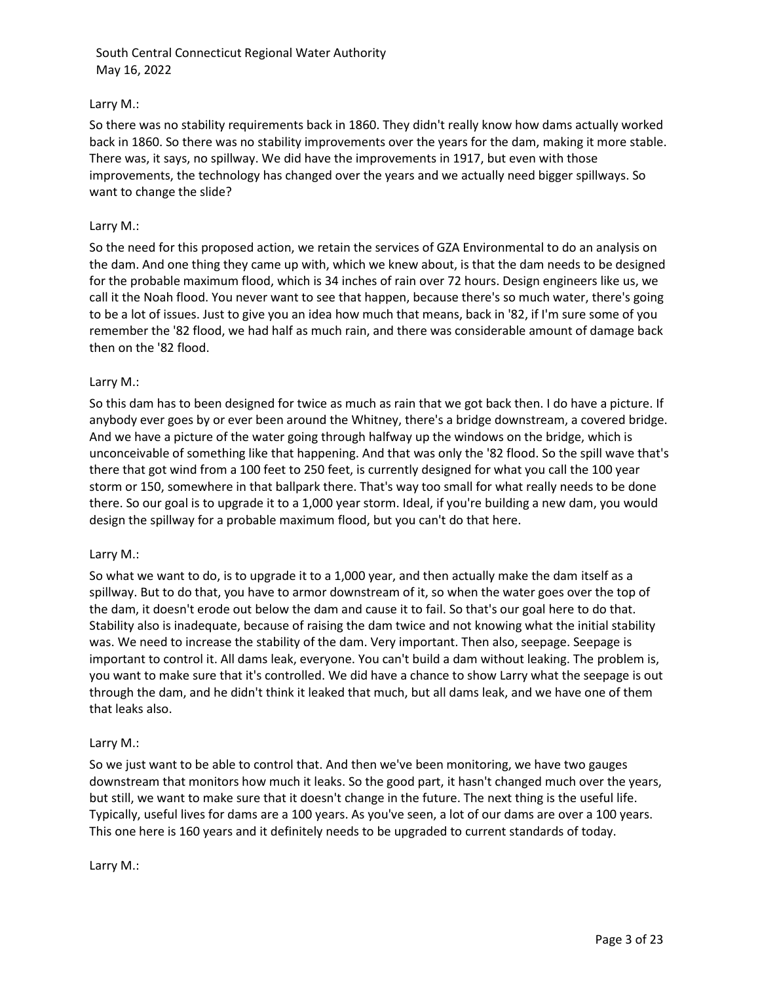# Larry M.:

So there was no stability requirements back in 1860. They didn't really know how dams actually worked back in 1860. So there was no stability improvements over the years for the dam, making it more stable. There was, it says, no spillway. We did have the improvements in 1917, but even with those improvements, the technology has changed over the years and we actually need bigger spillways. So want to change the slide?

## Larry M.:

So the need for this proposed action, we retain the services of GZA Environmental to do an analysis on the dam. And one thing they came up with, which we knew about, is that the dam needs to be designed for the probable maximum flood, which is 34 inches of rain over 72 hours. Design engineers like us, we call it the Noah flood. You never want to see that happen, because there's so much water, there's going to be a lot of issues. Just to give you an idea how much that means, back in '82, if I'm sure some of you remember the '82 flood, we had half as much rain, and there was considerable amount of damage back then on the '82 flood.

## Larry M.:

So this dam has to been designed for twice as much as rain that we got back then. I do have a picture. If anybody ever goes by or ever been around the Whitney, there's a bridge downstream, a covered bridge. And we have a picture of the water going through halfway up the windows on the bridge, which is unconceivable of something like that happening. And that was only the '82 flood. So the spill wave that's there that got wind from a 100 feet to 250 feet, is currently designed for what you call the 100 year storm or 150, somewhere in that ballpark there. That's way too small for what really needs to be done there. So our goal is to upgrade it to a 1,000 year storm. Ideal, if you're building a new dam, you would design the spillway for a probable maximum flood, but you can't do that here.

#### Larry M.:

So what we want to do, is to upgrade it to a 1,000 year, and then actually make the dam itself as a spillway. But to do that, you have to armor downstream of it, so when the water goes over the top of the dam, it doesn't erode out below the dam and cause it to fail. So that's our goal here to do that. Stability also is inadequate, because of raising the dam twice and not knowing what the initial stability was. We need to increase the stability of the dam. Very important. Then also, seepage. Seepage is important to control it. All dams leak, everyone. You can't build a dam without leaking. The problem is, you want to make sure that it's controlled. We did have a chance to show Larry what the seepage is out through the dam, and he didn't think it leaked that much, but all dams leak, and we have one of them that leaks also.

#### Larry M.:

So we just want to be able to control that. And then we've been monitoring, we have two gauges downstream that monitors how much it leaks. So the good part, it hasn't changed much over the years, but still, we want to make sure that it doesn't change in the future. The next thing is the useful life. Typically, useful lives for dams are a 100 years. As you've seen, a lot of our dams are over a 100 years. This one here is 160 years and it definitely needs to be upgraded to current standards of today.

Larry M.: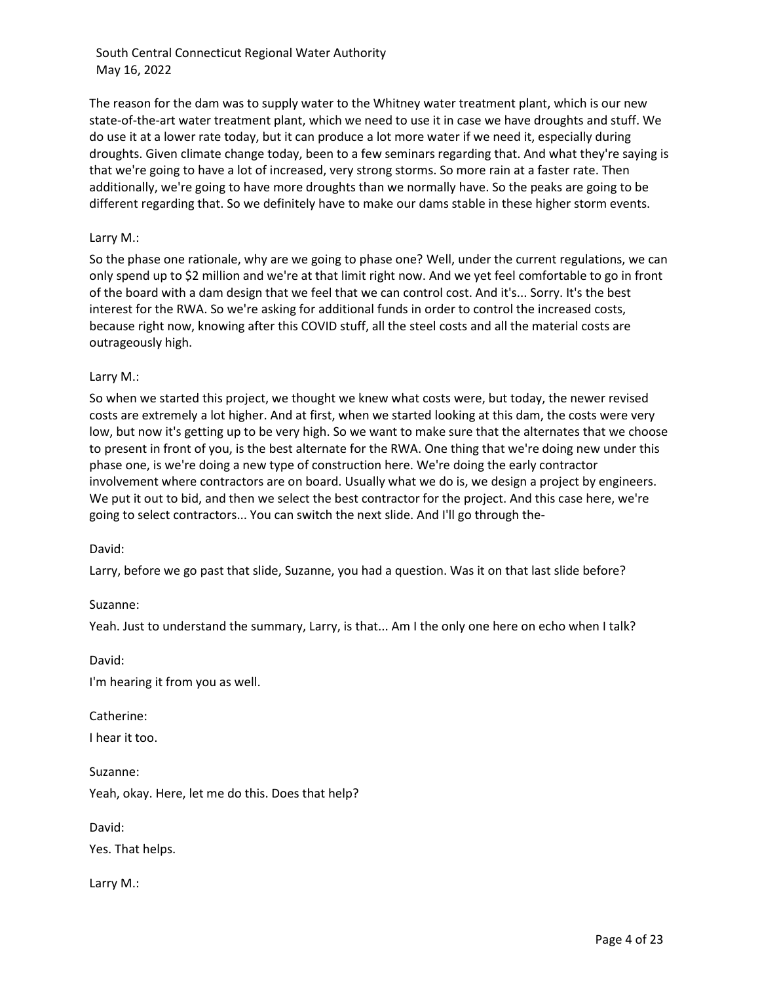The reason for the dam was to supply water to the Whitney water treatment plant, which is our new state-of-the-art water treatment plant, which we need to use it in case we have droughts and stuff. We do use it at a lower rate today, but it can produce a lot more water if we need it, especially during droughts. Given climate change today, been to a few seminars regarding that. And what they're saying is that we're going to have a lot of increased, very strong storms. So more rain at a faster rate. Then additionally, we're going to have more droughts than we normally have. So the peaks are going to be different regarding that. So we definitely have to make our dams stable in these higher storm events.

## Larry M.:

So the phase one rationale, why are we going to phase one? Well, under the current regulations, we can only spend up to \$2 million and we're at that limit right now. And we yet feel comfortable to go in front of the board with a dam design that we feel that we can control cost. And it's... Sorry. It's the best interest for the RWA. So we're asking for additional funds in order to control the increased costs, because right now, knowing after this COVID stuff, all the steel costs and all the material costs are outrageously high.

## Larry M.:

So when we started this project, we thought we knew what costs were, but today, the newer revised costs are extremely a lot higher. And at first, when we started looking at this dam, the costs were very low, but now it's getting up to be very high. So we want to make sure that the alternates that we choose to present in front of you, is the best alternate for the RWA. One thing that we're doing new under this phase one, is we're doing a new type of construction here. We're doing the early contractor involvement where contractors are on board. Usually what we do is, we design a project by engineers. We put it out to bid, and then we select the best contractor for the project. And this case here, we're going to select contractors... You can switch the next slide. And I'll go through the-

#### David:

Larry, before we go past that slide, Suzanne, you had a question. Was it on that last slide before?

Suzanne:

Yeah. Just to understand the summary, Larry, is that... Am I the only one here on echo when I talk?

David:

I'm hearing it from you as well.

Catherine:

I hear it too.

Suzanne: Yeah, okay. Here, let me do this. Does that help?

David:

Yes. That helps.

Larry M.: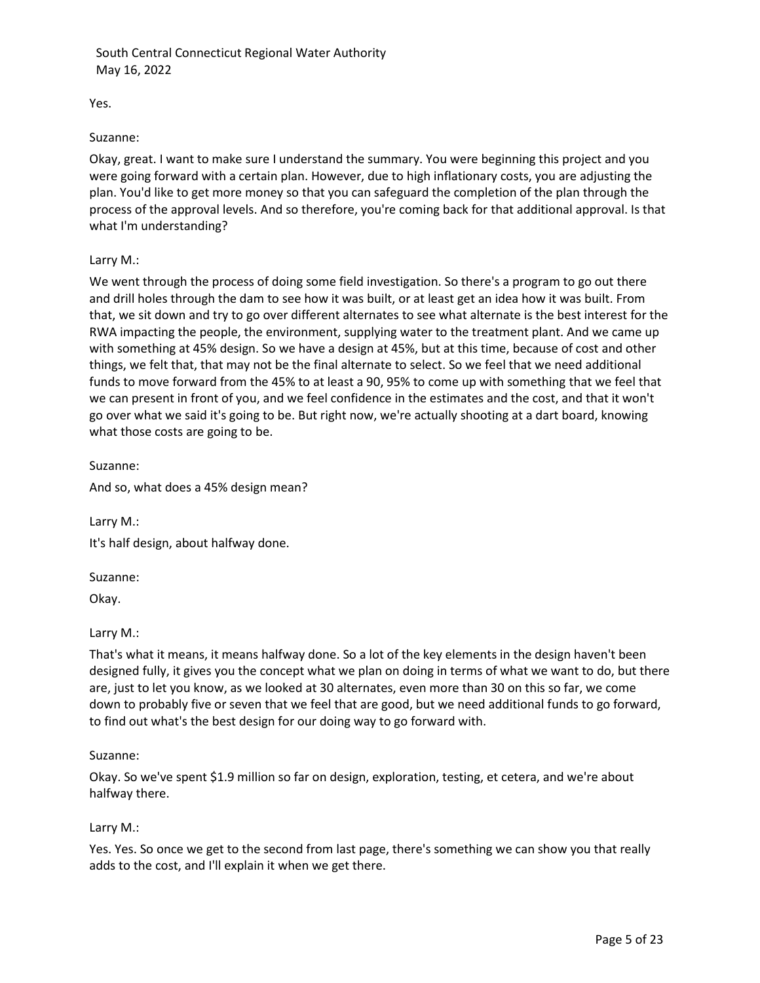Yes.

#### Suzanne:

Okay, great. I want to make sure I understand the summary. You were beginning this project and you were going forward with a certain plan. However, due to high inflationary costs, you are adjusting the plan. You'd like to get more money so that you can safeguard the completion of the plan through the process of the approval levels. And so therefore, you're coming back for that additional approval. Is that what I'm understanding?

# Larry M.:

We went through the process of doing some field investigation. So there's a program to go out there and drill holes through the dam to see how it was built, or at least get an idea how it was built. From that, we sit down and try to go over different alternates to see what alternate is the best interest for the RWA impacting the people, the environment, supplying water to the treatment plant. And we came up with something at 45% design. So we have a design at 45%, but at this time, because of cost and other things, we felt that, that may not be the final alternate to select. So we feel that we need additional funds to move forward from the 45% to at least a 90, 95% to come up with something that we feel that we can present in front of you, and we feel confidence in the estimates and the cost, and that it won't go over what we said it's going to be. But right now, we're actually shooting at a dart board, knowing what those costs are going to be.

Suzanne:

And so, what does a 45% design mean?

Larry M.: It's half design, about halfway done.

Suzanne:

Okay.

#### Larry M.:

That's what it means, it means halfway done. So a lot of the key elements in the design haven't been designed fully, it gives you the concept what we plan on doing in terms of what we want to do, but there are, just to let you know, as we looked at 30 alternates, even more than 30 on this so far, we come down to probably five or seven that we feel that are good, but we need additional funds to go forward, to find out what's the best design for our doing way to go forward with.

#### Suzanne:

Okay. So we've spent \$1.9 million so far on design, exploration, testing, et cetera, and we're about halfway there.

#### Larry M.:

Yes. Yes. So once we get to the second from last page, there's something we can show you that really adds to the cost, and I'll explain it when we get there.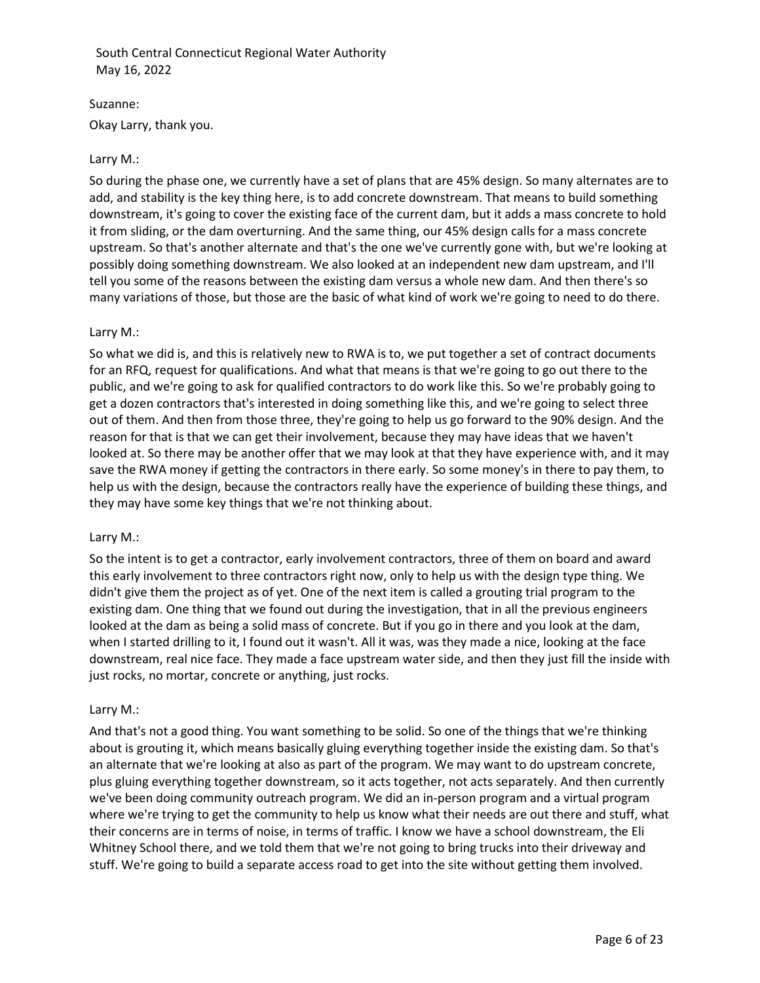Suzanne: Okay Larry, thank you.

# Larry M.:

So during the phase one, we currently have a set of plans that are 45% design. So many alternates are to add, and stability is the key thing here, is to add concrete downstream. That means to build something downstream, it's going to cover the existing face of the current dam, but it adds a mass concrete to hold it from sliding, or the dam overturning. And the same thing, our 45% design calls for a mass concrete upstream. So that's another alternate and that's the one we've currently gone with, but we're looking at possibly doing something downstream. We also looked at an independent new dam upstream, and I'll tell you some of the reasons between the existing dam versus a whole new dam. And then there's so many variations of those, but those are the basic of what kind of work we're going to need to do there.

## Larry M.:

So what we did is, and this is relatively new to RWA is to, we put together a set of contract documents for an RFQ, request for qualifications. And what that means is that we're going to go out there to the public, and we're going to ask for qualified contractors to do work like this. So we're probably going to get a dozen contractors that's interested in doing something like this, and we're going to select three out of them. And then from those three, they're going to help us go forward to the 90% design. And the reason for that is that we can get their involvement, because they may have ideas that we haven't looked at. So there may be another offer that we may look at that they have experience with, and it may save the RWA money if getting the contractors in there early. So some money's in there to pay them, to help us with the design, because the contractors really have the experience of building these things, and they may have some key things that we're not thinking about.

#### Larry M.:

So the intent is to get a contractor, early involvement contractors, three of them on board and award this early involvement to three contractors right now, only to help us with the design type thing. We didn't give them the project as of yet. One of the next item is called a grouting trial program to the existing dam. One thing that we found out during the investigation, that in all the previous engineers looked at the dam as being a solid mass of concrete. But if you go in there and you look at the dam, when I started drilling to it, I found out it wasn't. All it was, was they made a nice, looking at the face downstream, real nice face. They made a face upstream water side, and then they just fill the inside with just rocks, no mortar, concrete or anything, just rocks.

#### Larry M.:

And that's not a good thing. You want something to be solid. So one of the things that we're thinking about is grouting it, which means basically gluing everything together inside the existing dam. So that's an alternate that we're looking at also as part of the program. We may want to do upstream concrete, plus gluing everything together downstream, so it acts together, not acts separately. And then currently we've been doing community outreach program. We did an in-person program and a virtual program where we're trying to get the community to help us know what their needs are out there and stuff, what their concerns are in terms of noise, in terms of traffic. I know we have a school downstream, the Eli Whitney School there, and we told them that we're not going to bring trucks into their driveway and stuff. We're going to build a separate access road to get into the site without getting them involved.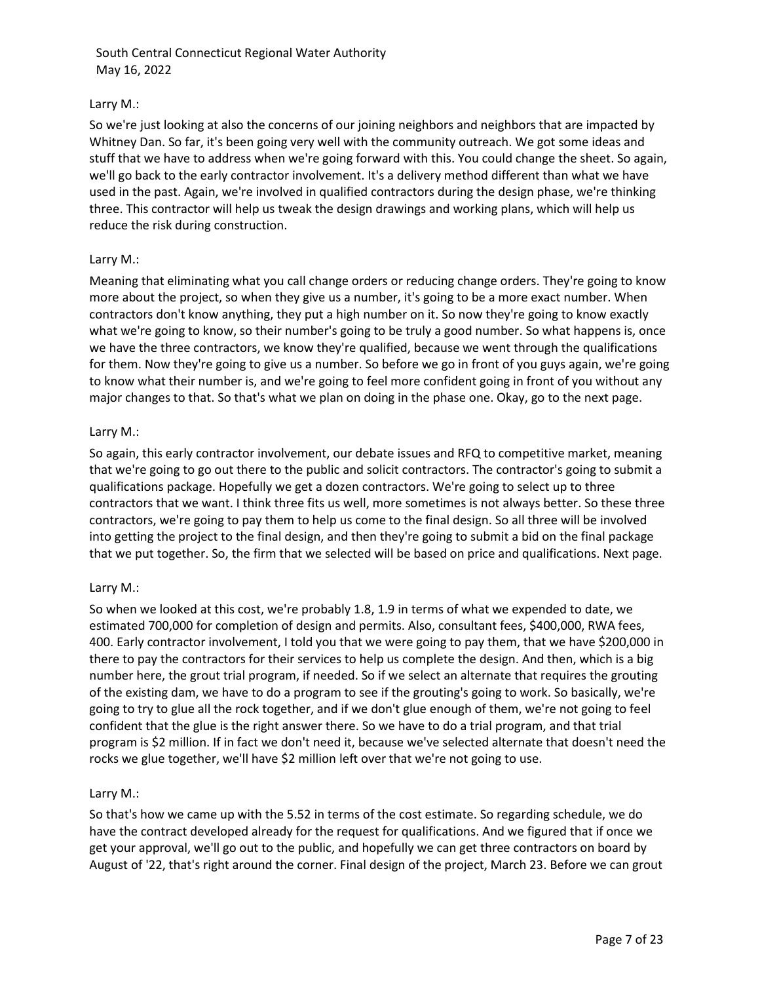# Larry M.:

So we're just looking at also the concerns of our joining neighbors and neighbors that are impacted by Whitney Dan. So far, it's been going very well with the community outreach. We got some ideas and stuff that we have to address when we're going forward with this. You could change the sheet. So again, we'll go back to the early contractor involvement. It's a delivery method different than what we have used in the past. Again, we're involved in qualified contractors during the design phase, we're thinking three. This contractor will help us tweak the design drawings and working plans, which will help us reduce the risk during construction.

## Larry M.:

Meaning that eliminating what you call change orders or reducing change orders. They're going to know more about the project, so when they give us a number, it's going to be a more exact number. When contractors don't know anything, they put a high number on it. So now they're going to know exactly what we're going to know, so their number's going to be truly a good number. So what happens is, once we have the three contractors, we know they're qualified, because we went through the qualifications for them. Now they're going to give us a number. So before we go in front of you guys again, we're going to know what their number is, and we're going to feel more confident going in front of you without any major changes to that. So that's what we plan on doing in the phase one. Okay, go to the next page.

## Larry M.:

So again, this early contractor involvement, our debate issues and RFQ to competitive market, meaning that we're going to go out there to the public and solicit contractors. The contractor's going to submit a qualifications package. Hopefully we get a dozen contractors. We're going to select up to three contractors that we want. I think three fits us well, more sometimes is not always better. So these three contractors, we're going to pay them to help us come to the final design. So all three will be involved into getting the project to the final design, and then they're going to submit a bid on the final package that we put together. So, the firm that we selected will be based on price and qualifications. Next page.

# Larry M.:

So when we looked at this cost, we're probably 1.8, 1.9 in terms of what we expended to date, we estimated 700,000 for completion of design and permits. Also, consultant fees, \$400,000, RWA fees, 400. Early contractor involvement, I told you that we were going to pay them, that we have \$200,000 in there to pay the contractors for their services to help us complete the design. And then, which is a big number here, the grout trial program, if needed. So if we select an alternate that requires the grouting of the existing dam, we have to do a program to see if the grouting's going to work. So basically, we're going to try to glue all the rock together, and if we don't glue enough of them, we're not going to feel confident that the glue is the right answer there. So we have to do a trial program, and that trial program is \$2 million. If in fact we don't need it, because we've selected alternate that doesn't need the rocks we glue together, we'll have \$2 million left over that we're not going to use.

#### Larry M.:

So that's how we came up with the 5.52 in terms of the cost estimate. So regarding schedule, we do have the contract developed already for the request for qualifications. And we figured that if once we get your approval, we'll go out to the public, and hopefully we can get three contractors on board by August of '22, that's right around the corner. Final design of the project, March 23. Before we can grout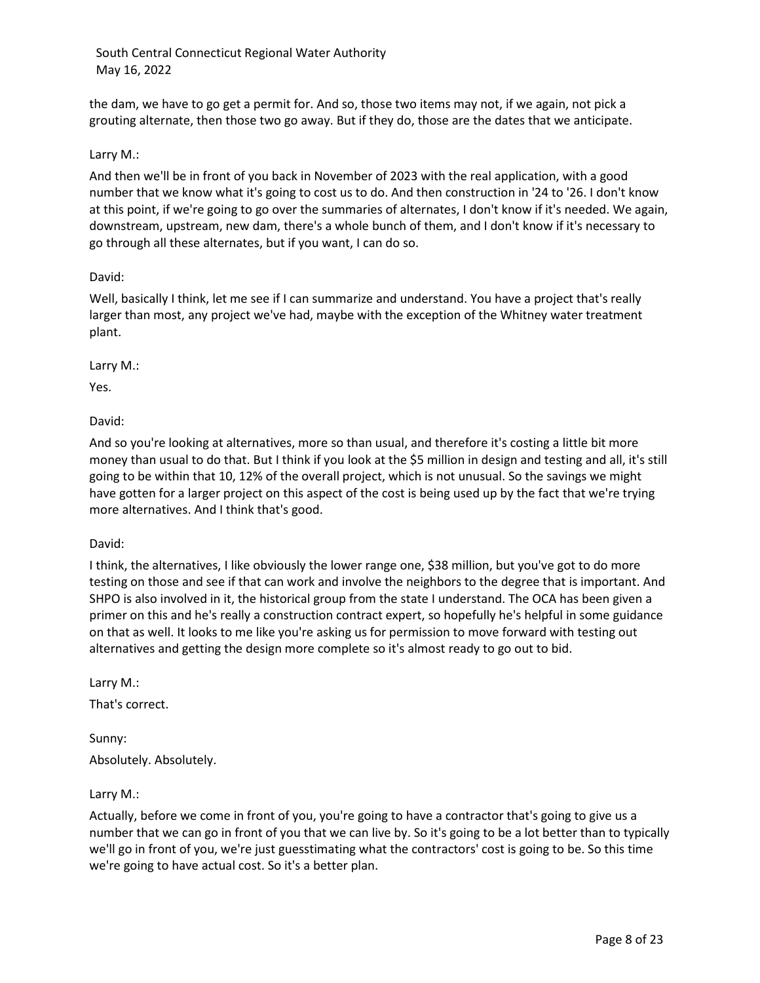the dam, we have to go get a permit for. And so, those two items may not, if we again, not pick a grouting alternate, then those two go away. But if they do, those are the dates that we anticipate.

# Larry M.:

And then we'll be in front of you back in November of 2023 with the real application, with a good number that we know what it's going to cost us to do. And then construction in '24 to '26. I don't know at this point, if we're going to go over the summaries of alternates, I don't know if it's needed. We again, downstream, upstream, new dam, there's a whole bunch of them, and I don't know if it's necessary to go through all these alternates, but if you want, I can do so.

#### David:

Well, basically I think, let me see if I can summarize and understand. You have a project that's really larger than most, any project we've had, maybe with the exception of the Whitney water treatment plant.

Larry M.:

Yes.

David:

And so you're looking at alternatives, more so than usual, and therefore it's costing a little bit more money than usual to do that. But I think if you look at the \$5 million in design and testing and all, it's still going to be within that 10, 12% of the overall project, which is not unusual. So the savings we might have gotten for a larger project on this aspect of the cost is being used up by the fact that we're trying more alternatives. And I think that's good.

David:

I think, the alternatives, I like obviously the lower range one, \$38 million, but you've got to do more testing on those and see if that can work and involve the neighbors to the degree that is important. And SHPO is also involved in it, the historical group from the state I understand. The OCA has been given a primer on this and he's really a construction contract expert, so hopefully he's helpful in some guidance on that as well. It looks to me like you're asking us for permission to move forward with testing out alternatives and getting the design more complete so it's almost ready to go out to bid.

Larry M.:

That's correct.

Sunny: Absolutely. Absolutely.

Larry M.:

Actually, before we come in front of you, you're going to have a contractor that's going to give us a number that we can go in front of you that we can live by. So it's going to be a lot better than to typically we'll go in front of you, we're just guesstimating what the contractors' cost is going to be. So this time we're going to have actual cost. So it's a better plan.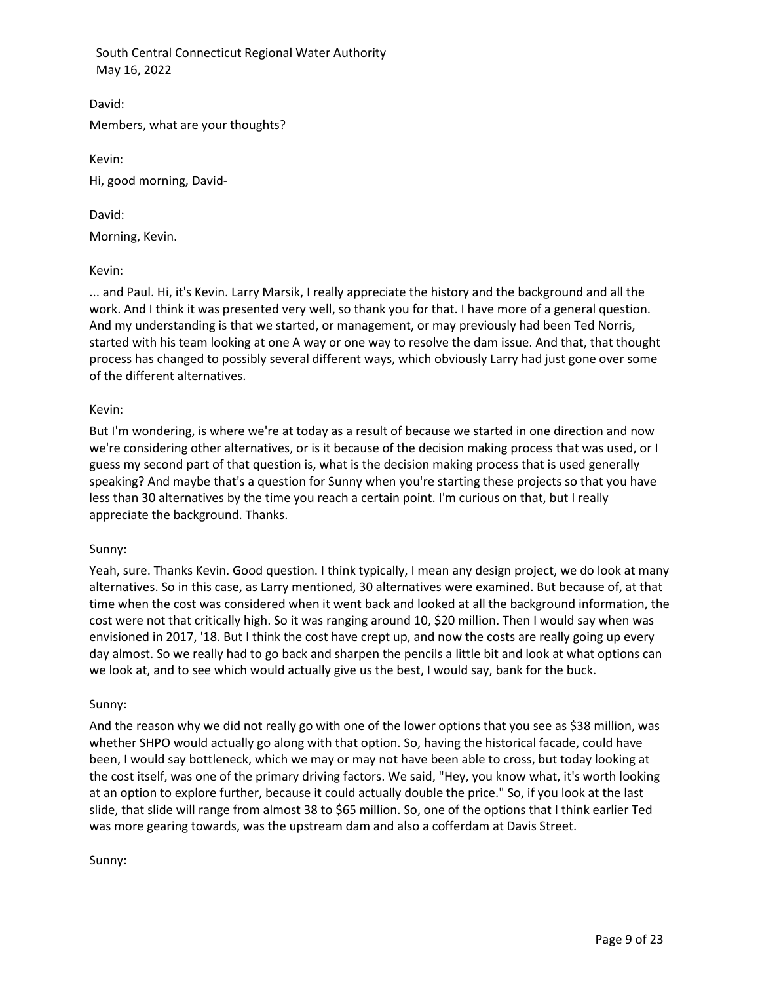David: Members, what are your thoughts?

Kevin:

Hi, good morning, David-

David:

Morning, Kevin.

Kevin:

... and Paul. Hi, it's Kevin. Larry Marsik, I really appreciate the history and the background and all the work. And I think it was presented very well, so thank you for that. I have more of a general question. And my understanding is that we started, or management, or may previously had been Ted Norris, started with his team looking at one A way or one way to resolve the dam issue. And that, that thought process has changed to possibly several different ways, which obviously Larry had just gone over some of the different alternatives.

# Kevin:

But I'm wondering, is where we're at today as a result of because we started in one direction and now we're considering other alternatives, or is it because of the decision making process that was used, or I guess my second part of that question is, what is the decision making process that is used generally speaking? And maybe that's a question for Sunny when you're starting these projects so that you have less than 30 alternatives by the time you reach a certain point. I'm curious on that, but I really appreciate the background. Thanks.

# Sunny:

Yeah, sure. Thanks Kevin. Good question. I think typically, I mean any design project, we do look at many alternatives. So in this case, as Larry mentioned, 30 alternatives were examined. But because of, at that time when the cost was considered when it went back and looked at all the background information, the cost were not that critically high. So it was ranging around 10, \$20 million. Then I would say when was envisioned in 2017, '18. But I think the cost have crept up, and now the costs are really going up every day almost. So we really had to go back and sharpen the pencils a little bit and look at what options can we look at, and to see which would actually give us the best, I would say, bank for the buck.

# Sunny:

And the reason why we did not really go with one of the lower options that you see as \$38 million, was whether SHPO would actually go along with that option. So, having the historical facade, could have been, I would say bottleneck, which we may or may not have been able to cross, but today looking at the cost itself, was one of the primary driving factors. We said, "Hey, you know what, it's worth looking at an option to explore further, because it could actually double the price." So, if you look at the last slide, that slide will range from almost 38 to \$65 million. So, one of the options that I think earlier Ted was more gearing towards, was the upstream dam and also a cofferdam at Davis Street.

Sunny: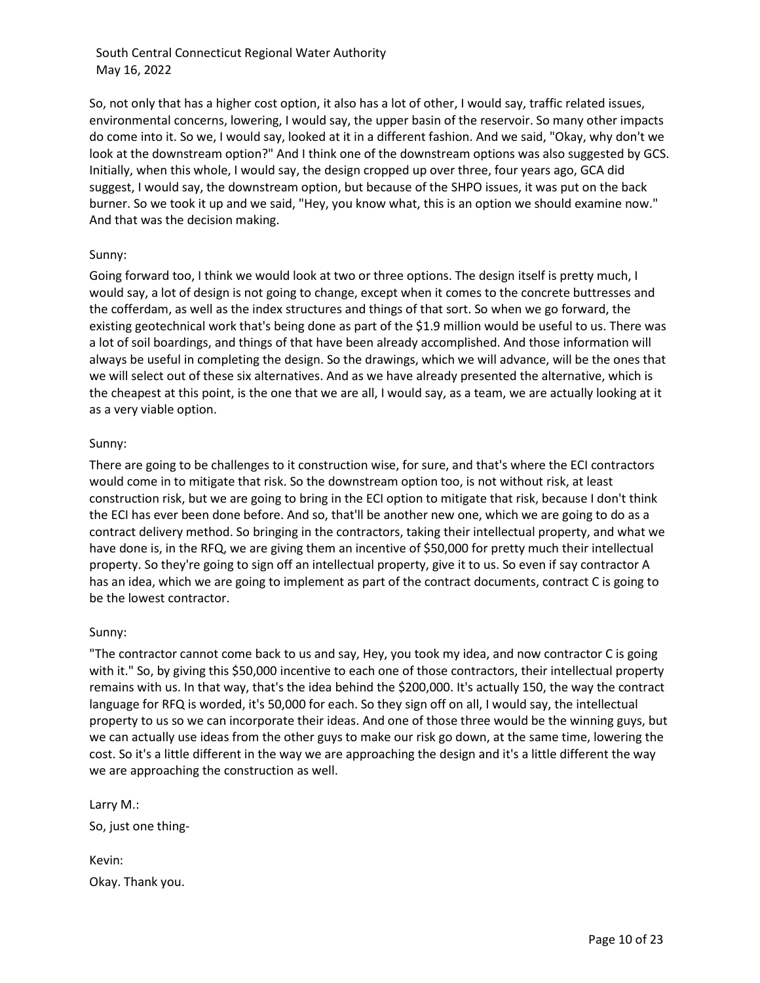So, not only that has a higher cost option, it also has a lot of other, I would say, traffic related issues, environmental concerns, lowering, I would say, the upper basin of the reservoir. So many other impacts do come into it. So we, I would say, looked at it in a different fashion. And we said, "Okay, why don't we look at the downstream option?" And I think one of the downstream options was also suggested by GCS. Initially, when this whole, I would say, the design cropped up over three, four years ago, GCA did suggest, I would say, the downstream option, but because of the SHPO issues, it was put on the back burner. So we took it up and we said, "Hey, you know what, this is an option we should examine now." And that was the decision making.

## Sunny:

Going forward too, I think we would look at two or three options. The design itself is pretty much, I would say, a lot of design is not going to change, except when it comes to the concrete buttresses and the cofferdam, as well as the index structures and things of that sort. So when we go forward, the existing geotechnical work that's being done as part of the \$1.9 million would be useful to us. There was a lot of soil boardings, and things of that have been already accomplished. And those information will always be useful in completing the design. So the drawings, which we will advance, will be the ones that we will select out of these six alternatives. And as we have already presented the alternative, which is the cheapest at this point, is the one that we are all, I would say, as a team, we are actually looking at it as a very viable option.

#### Sunny:

There are going to be challenges to it construction wise, for sure, and that's where the ECI contractors would come in to mitigate that risk. So the downstream option too, is not without risk, at least construction risk, but we are going to bring in the ECI option to mitigate that risk, because I don't think the ECI has ever been done before. And so, that'll be another new one, which we are going to do as a contract delivery method. So bringing in the contractors, taking their intellectual property, and what we have done is, in the RFQ, we are giving them an incentive of \$50,000 for pretty much their intellectual property. So they're going to sign off an intellectual property, give it to us. So even if say contractor A has an idea, which we are going to implement as part of the contract documents, contract C is going to be the lowest contractor.

#### Sunny:

"The contractor cannot come back to us and say, Hey, you took my idea, and now contractor C is going with it." So, by giving this \$50,000 incentive to each one of those contractors, their intellectual property remains with us. In that way, that's the idea behind the \$200,000. It's actually 150, the way the contract language for RFQ is worded, it's 50,000 for each. So they sign off on all, I would say, the intellectual property to us so we can incorporate their ideas. And one of those three would be the winning guys, but we can actually use ideas from the other guys to make our risk go down, at the same time, lowering the cost. So it's a little different in the way we are approaching the design and it's a little different the way we are approaching the construction as well.

Larry M.: So, just one thing-

Kevin: Okay. Thank you.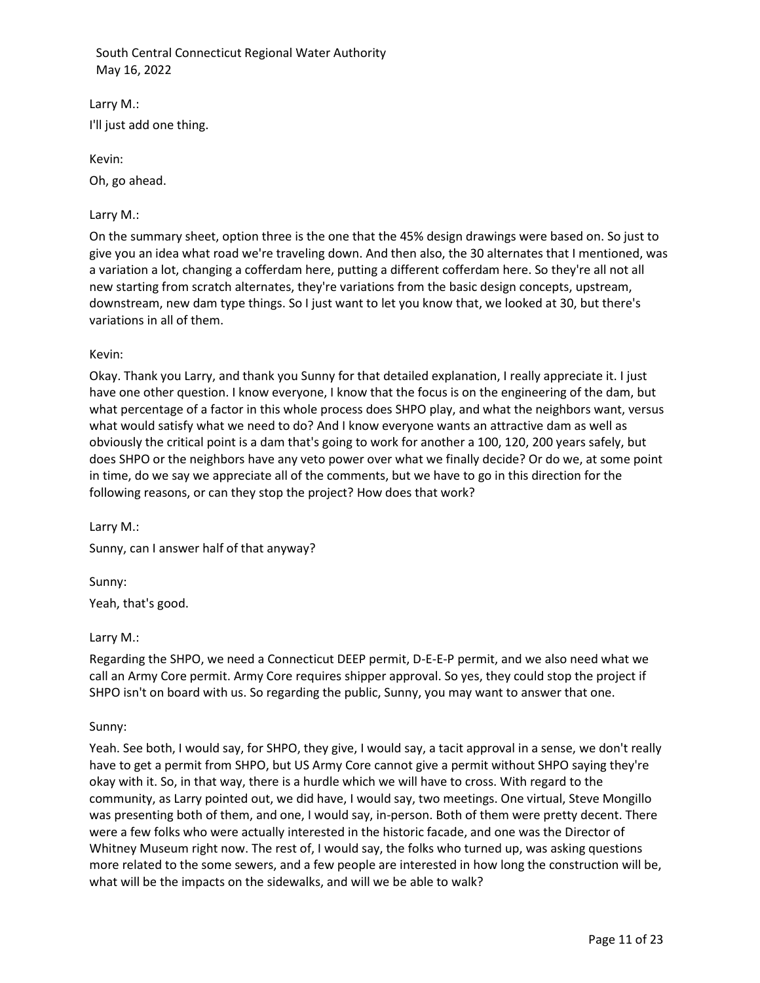Larry M.: I'll just add one thing.

Kevin:

Oh, go ahead.

# Larry M.:

On the summary sheet, option three is the one that the 45% design drawings were based on. So just to give you an idea what road we're traveling down. And then also, the 30 alternates that I mentioned, was a variation a lot, changing a cofferdam here, putting a different cofferdam here. So they're all not all new starting from scratch alternates, they're variations from the basic design concepts, upstream, downstream, new dam type things. So I just want to let you know that, we looked at 30, but there's variations in all of them.

# Kevin:

Okay. Thank you Larry, and thank you Sunny for that detailed explanation, I really appreciate it. I just have one other question. I know everyone, I know that the focus is on the engineering of the dam, but what percentage of a factor in this whole process does SHPO play, and what the neighbors want, versus what would satisfy what we need to do? And I know everyone wants an attractive dam as well as obviously the critical point is a dam that's going to work for another a 100, 120, 200 years safely, but does SHPO or the neighbors have any veto power over what we finally decide? Or do we, at some point in time, do we say we appreciate all of the comments, but we have to go in this direction for the following reasons, or can they stop the project? How does that work?

Larry M.:

Sunny, can I answer half of that anyway?

Sunny: Yeah, that's good.

# Larry M.:

Regarding the SHPO, we need a Connecticut DEEP permit, D-E-E-P permit, and we also need what we call an Army Core permit. Army Core requires shipper approval. So yes, they could stop the project if SHPO isn't on board with us. So regarding the public, Sunny, you may want to answer that one.

# Sunny:

Yeah. See both, I would say, for SHPO, they give, I would say, a tacit approval in a sense, we don't really have to get a permit from SHPO, but US Army Core cannot give a permit without SHPO saying they're okay with it. So, in that way, there is a hurdle which we will have to cross. With regard to the community, as Larry pointed out, we did have, I would say, two meetings. One virtual, Steve Mongillo was presenting both of them, and one, I would say, in-person. Both of them were pretty decent. There were a few folks who were actually interested in the historic facade, and one was the Director of Whitney Museum right now. The rest of, I would say, the folks who turned up, was asking questions more related to the some sewers, and a few people are interested in how long the construction will be, what will be the impacts on the sidewalks, and will we be able to walk?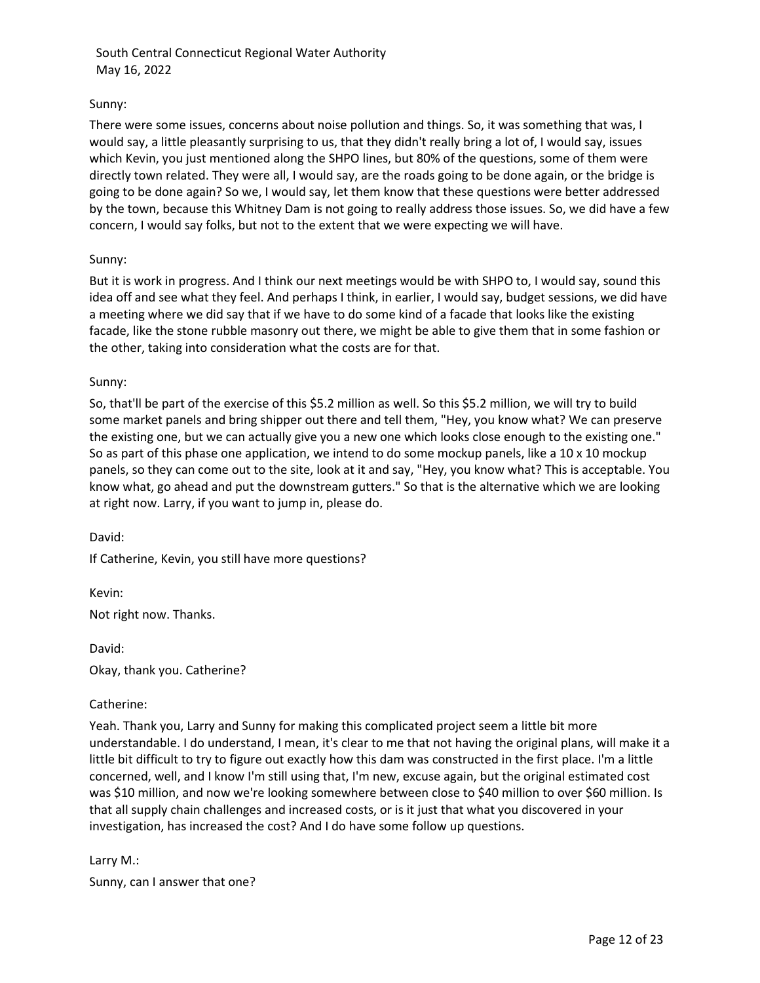## Sunny:

There were some issues, concerns about noise pollution and things. So, it was something that was, I would say, a little pleasantly surprising to us, that they didn't really bring a lot of, I would say, issues which Kevin, you just mentioned along the SHPO lines, but 80% of the questions, some of them were directly town related. They were all, I would say, are the roads going to be done again, or the bridge is going to be done again? So we, I would say, let them know that these questions were better addressed by the town, because this Whitney Dam is not going to really address those issues. So, we did have a few concern, I would say folks, but not to the extent that we were expecting we will have.

## Sunny:

But it is work in progress. And I think our next meetings would be with SHPO to, I would say, sound this idea off and see what they feel. And perhaps I think, in earlier, I would say, budget sessions, we did have a meeting where we did say that if we have to do some kind of a facade that looks like the existing facade, like the stone rubble masonry out there, we might be able to give them that in some fashion or the other, taking into consideration what the costs are for that.

## Sunny:

So, that'll be part of the exercise of this \$5.2 million as well. So this \$5.2 million, we will try to build some market panels and bring shipper out there and tell them, "Hey, you know what? We can preserve the existing one, but we can actually give you a new one which looks close enough to the existing one." So as part of this phase one application, we intend to do some mockup panels, like a  $10 \times 10$  mockup panels, so they can come out to the site, look at it and say, "Hey, you know what? This is acceptable. You know what, go ahead and put the downstream gutters." So that is the alternative which we are looking at right now. Larry, if you want to jump in, please do.

David:

If Catherine, Kevin, you still have more questions?

Kevin: Not right now. Thanks.

David: Okay, thank you. Catherine?

#### Catherine:

Yeah. Thank you, Larry and Sunny for making this complicated project seem a little bit more understandable. I do understand, I mean, it's clear to me that not having the original plans, will make it a little bit difficult to try to figure out exactly how this dam was constructed in the first place. I'm a little concerned, well, and I know I'm still using that, I'm new, excuse again, but the original estimated cost was \$10 million, and now we're looking somewhere between close to \$40 million to over \$60 million. Is that all supply chain challenges and increased costs, or is it just that what you discovered in your investigation, has increased the cost? And I do have some follow up questions.

Larry M.: Sunny, can I answer that one?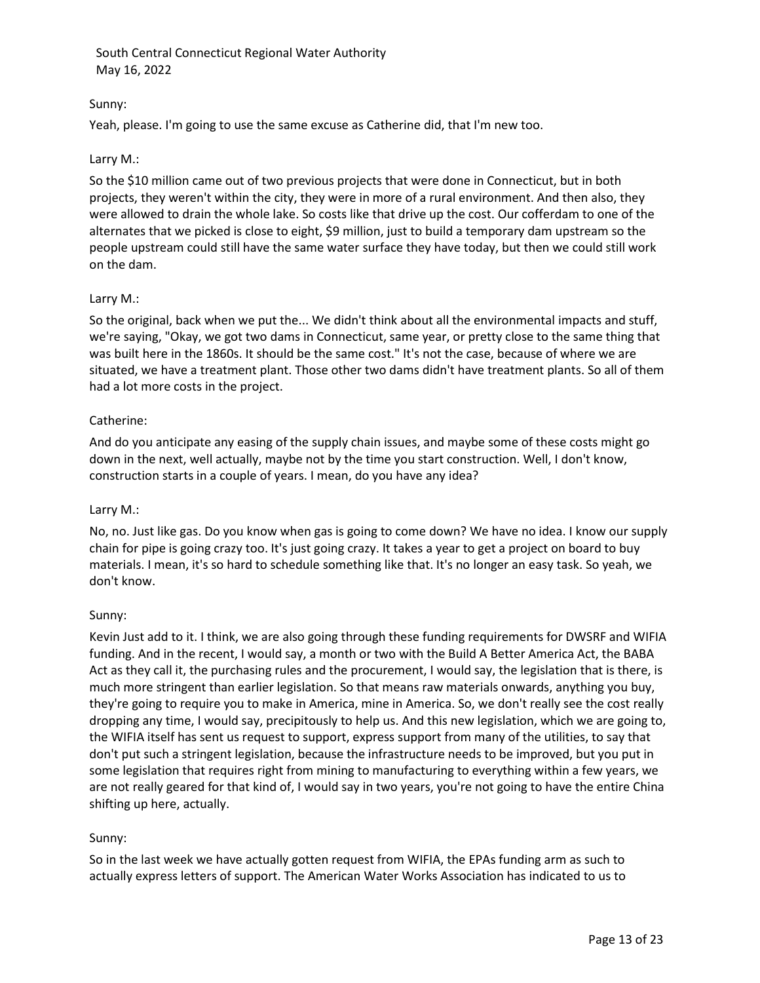# Sunny:

Yeah, please. I'm going to use the same excuse as Catherine did, that I'm new too.

## Larry M.:

So the \$10 million came out of two previous projects that were done in Connecticut, but in both projects, they weren't within the city, they were in more of a rural environment. And then also, they were allowed to drain the whole lake. So costs like that drive up the cost. Our cofferdam to one of the alternates that we picked is close to eight, \$9 million, just to build a temporary dam upstream so the people upstream could still have the same water surface they have today, but then we could still work on the dam.

## Larry M.:

So the original, back when we put the... We didn't think about all the environmental impacts and stuff, we're saying, "Okay, we got two dams in Connecticut, same year, or pretty close to the same thing that was built here in the 1860s. It should be the same cost." It's not the case, because of where we are situated, we have a treatment plant. Those other two dams didn't have treatment plants. So all of them had a lot more costs in the project.

## Catherine:

And do you anticipate any easing of the supply chain issues, and maybe some of these costs might go down in the next, well actually, maybe not by the time you start construction. Well, I don't know, construction starts in a couple of years. I mean, do you have any idea?

#### Larry M.:

No, no. Just like gas. Do you know when gas is going to come down? We have no idea. I know our supply chain for pipe is going crazy too. It's just going crazy. It takes a year to get a project on board to buy materials. I mean, it's so hard to schedule something like that. It's no longer an easy task. So yeah, we don't know.

# Sunny:

Kevin Just add to it. I think, we are also going through these funding requirements for DWSRF and WIFIA funding. And in the recent, I would say, a month or two with the Build A Better America Act, the BABA Act as they call it, the purchasing rules and the procurement, I would say, the legislation that is there, is much more stringent than earlier legislation. So that means raw materials onwards, anything you buy, they're going to require you to make in America, mine in America. So, we don't really see the cost really dropping any time, I would say, precipitously to help us. And this new legislation, which we are going to, the WIFIA itself has sent us request to support, express support from many of the utilities, to say that don't put such a stringent legislation, because the infrastructure needs to be improved, but you put in some legislation that requires right from mining to manufacturing to everything within a few years, we are not really geared for that kind of, I would say in two years, you're not going to have the entire China shifting up here, actually.

# Sunny:

So in the last week we have actually gotten request from WIFIA, the EPAs funding arm as such to actually express letters of support. The American Water Works Association has indicated to us to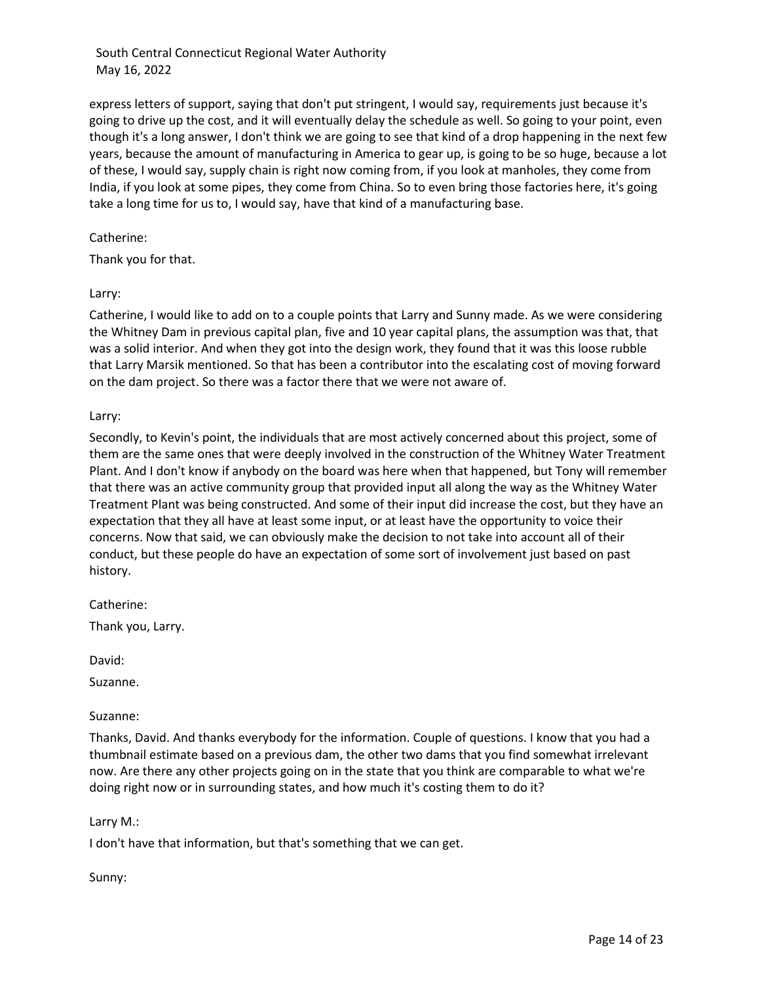express letters of support, saying that don't put stringent, I would say, requirements just because it's going to drive up the cost, and it will eventually delay the schedule as well. So going to your point, even though it's a long answer, I don't think we are going to see that kind of a drop happening in the next few years, because the amount of manufacturing in America to gear up, is going to be so huge, because a lot of these, I would say, supply chain is right now coming from, if you look at manholes, they come from India, if you look at some pipes, they come from China. So to even bring those factories here, it's going take a long time for us to, I would say, have that kind of a manufacturing base.

## Catherine:

Thank you for that.

## Larry:

Catherine, I would like to add on to a couple points that Larry and Sunny made. As we were considering the Whitney Dam in previous capital plan, five and 10 year capital plans, the assumption was that, that was a solid interior. And when they got into the design work, they found that it was this loose rubble that Larry Marsik mentioned. So that has been a contributor into the escalating cost of moving forward on the dam project. So there was a factor there that we were not aware of.

## Larry:

Secondly, to Kevin's point, the individuals that are most actively concerned about this project, some of them are the same ones that were deeply involved in the construction of the Whitney Water Treatment Plant. And I don't know if anybody on the board was here when that happened, but Tony will remember that there was an active community group that provided input all along the way as the Whitney Water Treatment Plant was being constructed. And some of their input did increase the cost, but they have an expectation that they all have at least some input, or at least have the opportunity to voice their concerns. Now that said, we can obviously make the decision to not take into account all of their conduct, but these people do have an expectation of some sort of involvement just based on past history.

Catherine:

Thank you, Larry.

David:

Suzanne.

Suzanne:

Thanks, David. And thanks everybody for the information. Couple of questions. I know that you had a thumbnail estimate based on a previous dam, the other two dams that you find somewhat irrelevant now. Are there any other projects going on in the state that you think are comparable to what we're doing right now or in surrounding states, and how much it's costing them to do it?

# Larry M.:

I don't have that information, but that's something that we can get.

Sunny: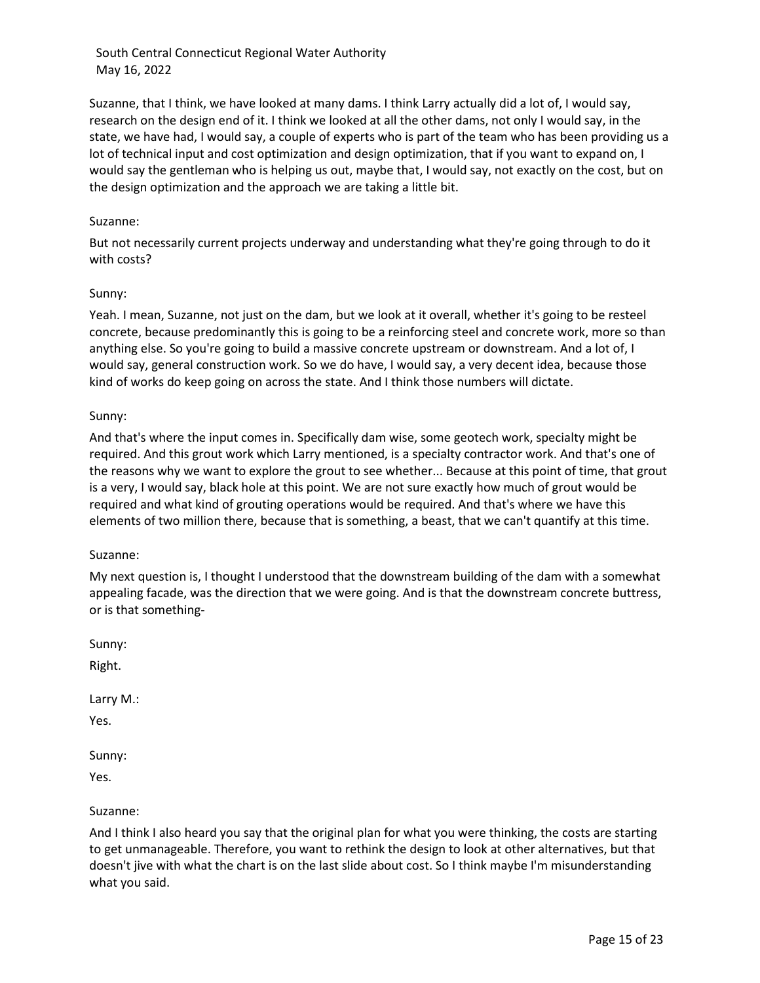Suzanne, that I think, we have looked at many dams. I think Larry actually did a lot of, I would say, research on the design end of it. I think we looked at all the other dams, not only I would say, in the state, we have had, I would say, a couple of experts who is part of the team who has been providing us a lot of technical input and cost optimization and design optimization, that if you want to expand on, I would say the gentleman who is helping us out, maybe that, I would say, not exactly on the cost, but on the design optimization and the approach we are taking a little bit.

## Suzanne:

But not necessarily current projects underway and understanding what they're going through to do it with costs?

## Sunny:

Yeah. I mean, Suzanne, not just on the dam, but we look at it overall, whether it's going to be resteel concrete, because predominantly this is going to be a reinforcing steel and concrete work, more so than anything else. So you're going to build a massive concrete upstream or downstream. And a lot of, I would say, general construction work. So we do have, I would say, a very decent idea, because those kind of works do keep going on across the state. And I think those numbers will dictate.

## Sunny:

And that's where the input comes in. Specifically dam wise, some geotech work, specialty might be required. And this grout work which Larry mentioned, is a specialty contractor work. And that's one of the reasons why we want to explore the grout to see whether... Because at this point of time, that grout is a very, I would say, black hole at this point. We are not sure exactly how much of grout would be required and what kind of grouting operations would be required. And that's where we have this elements of two million there, because that is something, a beast, that we can't quantify at this time.

#### Suzanne:

My next question is, I thought I understood that the downstream building of the dam with a somewhat appealing facade, was the direction that we were going. And is that the downstream concrete buttress, or is that something-

Sunny:

Right.

Larry M.:

Yes.

Sunny:

Yes.

# Suzanne:

And I think I also heard you say that the original plan for what you were thinking, the costs are starting to get unmanageable. Therefore, you want to rethink the design to look at other alternatives, but that doesn't jive with what the chart is on the last slide about cost. So I think maybe I'm misunderstanding what you said.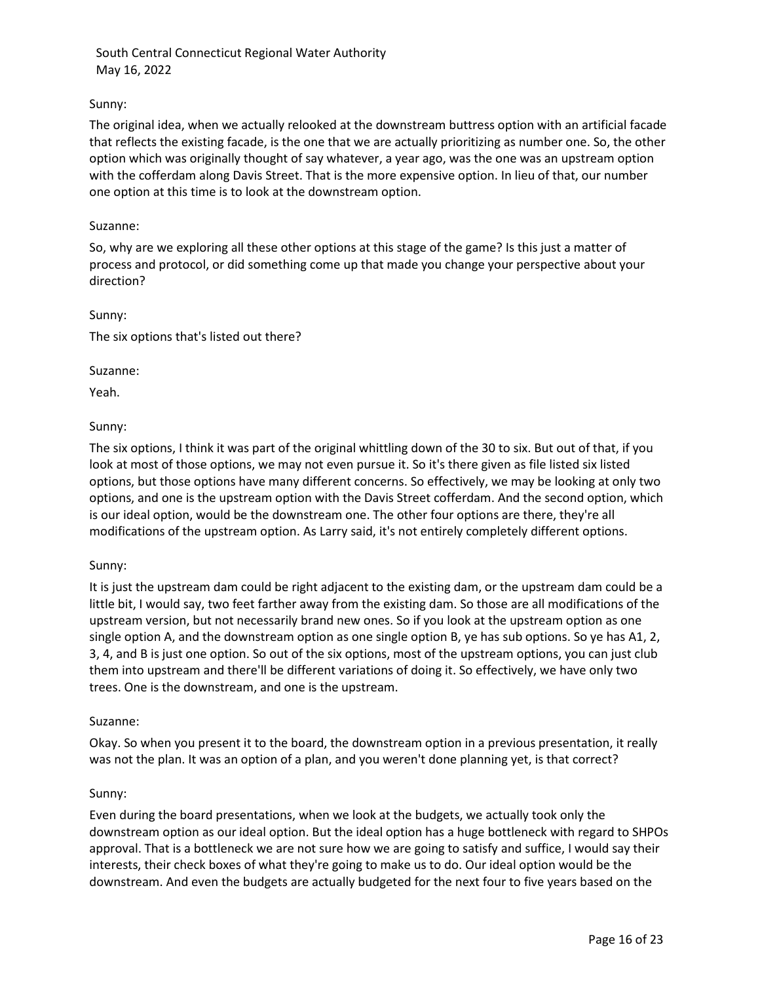# Sunny:

The original idea, when we actually relooked at the downstream buttress option with an artificial facade that reflects the existing facade, is the one that we are actually prioritizing as number one. So, the other option which was originally thought of say whatever, a year ago, was the one was an upstream option with the cofferdam along Davis Street. That is the more expensive option. In lieu of that, our number one option at this time is to look at the downstream option.

#### Suzanne:

So, why are we exploring all these other options at this stage of the game? Is this just a matter of process and protocol, or did something come up that made you change your perspective about your direction?

Sunny:

The six options that's listed out there?

#### Suzanne:

Yeah.

## Sunny:

The six options, I think it was part of the original whittling down of the 30 to six. But out of that, if you look at most of those options, we may not even pursue it. So it's there given as file listed six listed options, but those options have many different concerns. So effectively, we may be looking at only two options, and one is the upstream option with the Davis Street cofferdam. And the second option, which is our ideal option, would be the downstream one. The other four options are there, they're all modifications of the upstream option. As Larry said, it's not entirely completely different options.

#### Sunny:

It is just the upstream dam could be right adjacent to the existing dam, or the upstream dam could be a little bit, I would say, two feet farther away from the existing dam. So those are all modifications of the upstream version, but not necessarily brand new ones. So if you look at the upstream option as one single option A, and the downstream option as one single option B, ye has sub options. So ye has A1, 2, 3, 4, and B is just one option. So out of the six options, most of the upstream options, you can just club them into upstream and there'll be different variations of doing it. So effectively, we have only two trees. One is the downstream, and one is the upstream.

#### Suzanne:

Okay. So when you present it to the board, the downstream option in a previous presentation, it really was not the plan. It was an option of a plan, and you weren't done planning yet, is that correct?

#### Sunny:

Even during the board presentations, when we look at the budgets, we actually took only the downstream option as our ideal option. But the ideal option has a huge bottleneck with regard to SHPOs approval. That is a bottleneck we are not sure how we are going to satisfy and suffice, I would say their interests, their check boxes of what they're going to make us to do. Our ideal option would be the downstream. And even the budgets are actually budgeted for the next four to five years based on the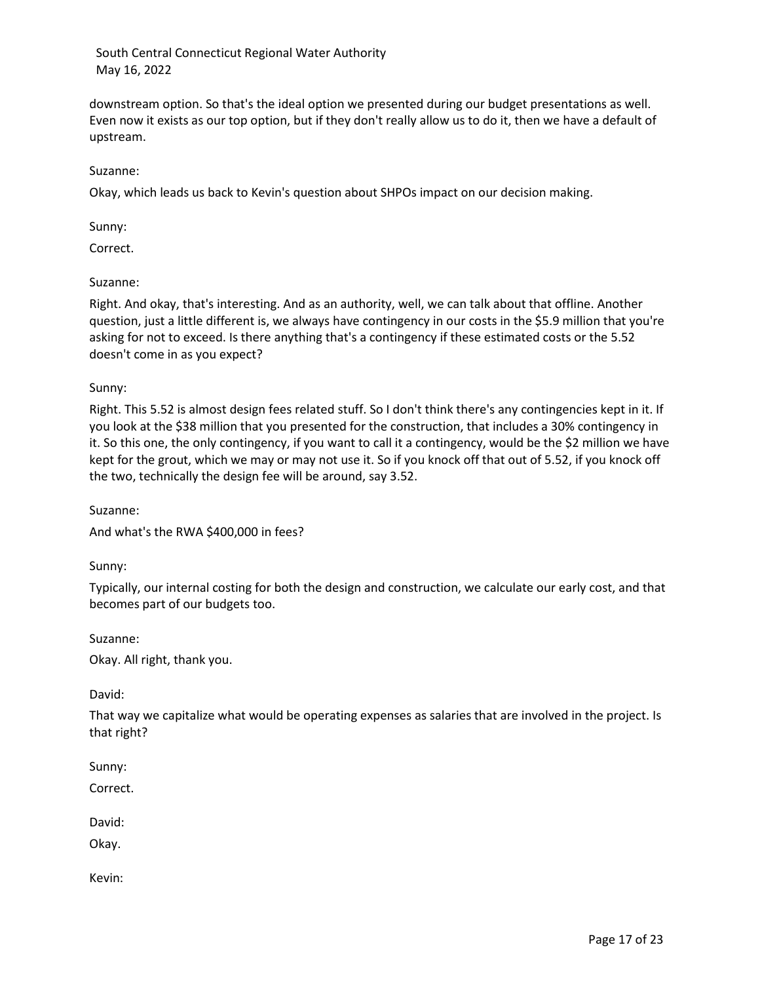downstream option. So that's the ideal option we presented during our budget presentations as well. Even now it exists as our top option, but if they don't really allow us to do it, then we have a default of upstream.

## Suzanne:

Okay, which leads us back to Kevin's question about SHPOs impact on our decision making.

Sunny:

Correct.

## Suzanne:

Right. And okay, that's interesting. And as an authority, well, we can talk about that offline. Another question, just a little different is, we always have contingency in our costs in the \$5.9 million that you're asking for not to exceed. Is there anything that's a contingency if these estimated costs or the 5.52 doesn't come in as you expect?

Sunny:

Right. This 5.52 is almost design fees related stuff. So I don't think there's any contingencies kept in it. If you look at the \$38 million that you presented for the construction, that includes a 30% contingency in it. So this one, the only contingency, if you want to call it a contingency, would be the \$2 million we have kept for the grout, which we may or may not use it. So if you knock off that out of 5.52, if you knock off the two, technically the design fee will be around, say 3.52.

Suzanne:

And what's the RWA \$400,000 in fees?

Sunny:

Typically, our internal costing for both the design and construction, we calculate our early cost, and that becomes part of our budgets too.

Suzanne:

Okay. All right, thank you.

David:

That way we capitalize what would be operating expenses as salaries that are involved in the project. Is that right?

Sunny:

Correct.

David:

Okay.

Kevin: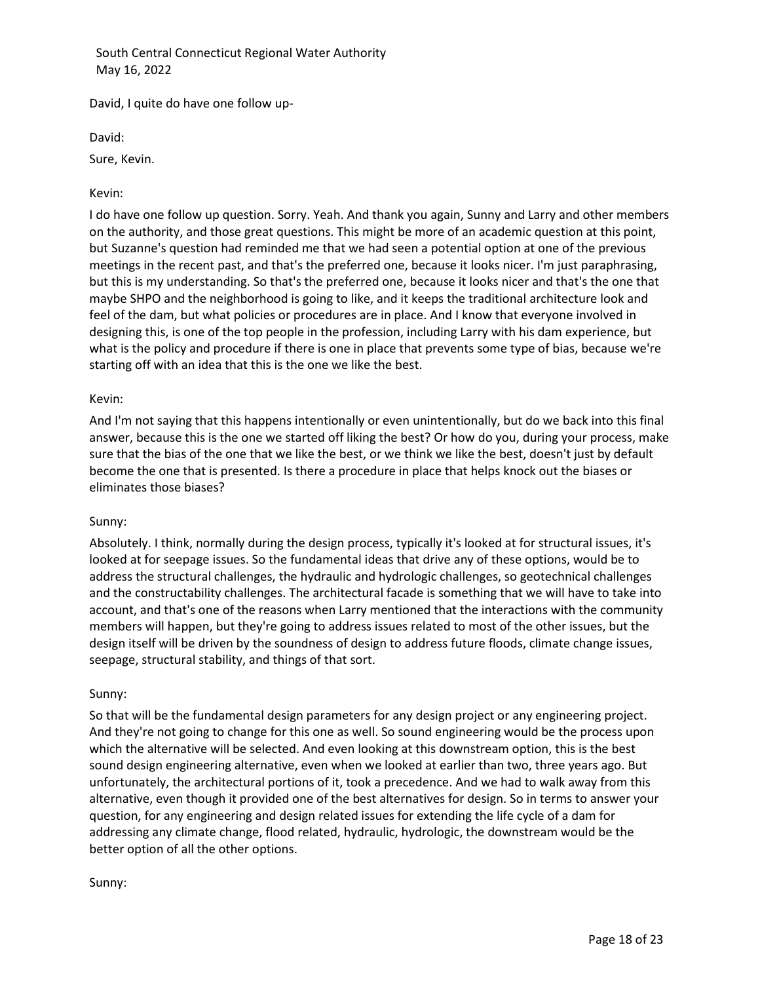David, I quite do have one follow up-

David:

Sure, Kevin.

# Kevin:

I do have one follow up question. Sorry. Yeah. And thank you again, Sunny and Larry and other members on the authority, and those great questions. This might be more of an academic question at this point, but Suzanne's question had reminded me that we had seen a potential option at one of the previous meetings in the recent past, and that's the preferred one, because it looks nicer. I'm just paraphrasing, but this is my understanding. So that's the preferred one, because it looks nicer and that's the one that maybe SHPO and the neighborhood is going to like, and it keeps the traditional architecture look and feel of the dam, but what policies or procedures are in place. And I know that everyone involved in designing this, is one of the top people in the profession, including Larry with his dam experience, but what is the policy and procedure if there is one in place that prevents some type of bias, because we're starting off with an idea that this is the one we like the best.

# Kevin:

And I'm not saying that this happens intentionally or even unintentionally, but do we back into this final answer, because this is the one we started off liking the best? Or how do you, during your process, make sure that the bias of the one that we like the best, or we think we like the best, doesn't just by default become the one that is presented. Is there a procedure in place that helps knock out the biases or eliminates those biases?

# Sunny:

Absolutely. I think, normally during the design process, typically it's looked at for structural issues, it's looked at for seepage issues. So the fundamental ideas that drive any of these options, would be to address the structural challenges, the hydraulic and hydrologic challenges, so geotechnical challenges and the constructability challenges. The architectural facade is something that we will have to take into account, and that's one of the reasons when Larry mentioned that the interactions with the community members will happen, but they're going to address issues related to most of the other issues, but the design itself will be driven by the soundness of design to address future floods, climate change issues, seepage, structural stability, and things of that sort.

# Sunny:

So that will be the fundamental design parameters for any design project or any engineering project. And they're not going to change for this one as well. So sound engineering would be the process upon which the alternative will be selected. And even looking at this downstream option, this is the best sound design engineering alternative, even when we looked at earlier than two, three years ago. But unfortunately, the architectural portions of it, took a precedence. And we had to walk away from this alternative, even though it provided one of the best alternatives for design. So in terms to answer your question, for any engineering and design related issues for extending the life cycle of a dam for addressing any climate change, flood related, hydraulic, hydrologic, the downstream would be the better option of all the other options.

# Sunny: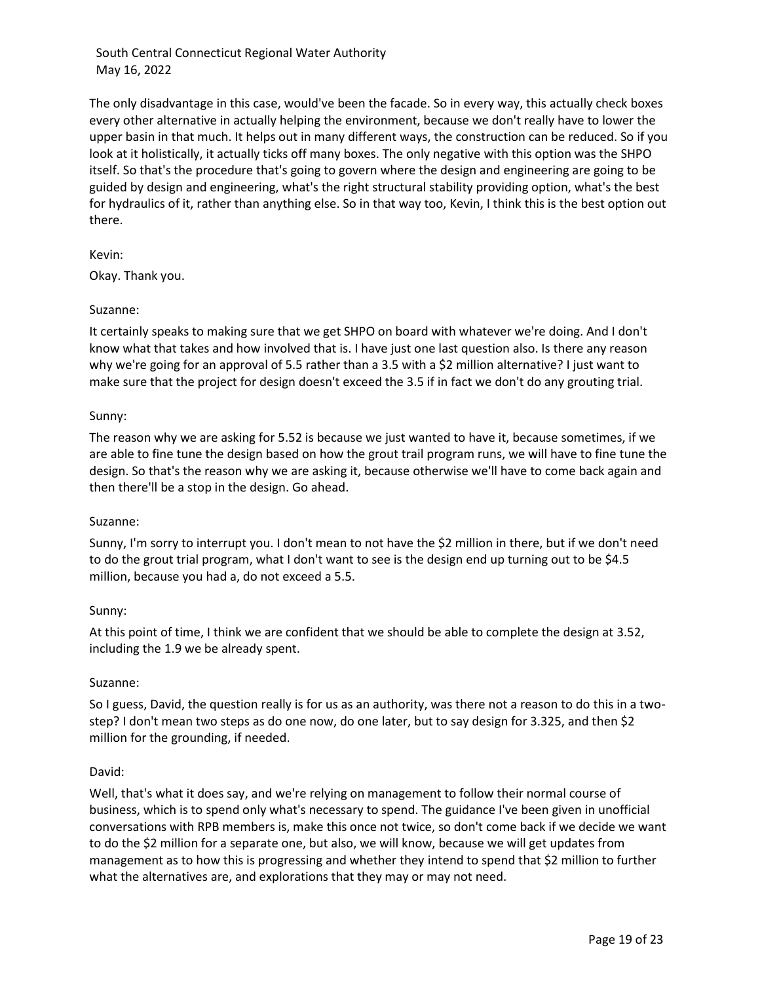The only disadvantage in this case, would've been the facade. So in every way, this actually check boxes every other alternative in actually helping the environment, because we don't really have to lower the upper basin in that much. It helps out in many different ways, the construction can be reduced. So if you look at it holistically, it actually ticks off many boxes. The only negative with this option was the SHPO itself. So that's the procedure that's going to govern where the design and engineering are going to be guided by design and engineering, what's the right structural stability providing option, what's the best for hydraulics of it, rather than anything else. So in that way too, Kevin, I think this is the best option out there.

Kevin:

Okay. Thank you.

## Suzanne:

It certainly speaks to making sure that we get SHPO on board with whatever we're doing. And I don't know what that takes and how involved that is. I have just one last question also. Is there any reason why we're going for an approval of 5.5 rather than a 3.5 with a \$2 million alternative? I just want to make sure that the project for design doesn't exceed the 3.5 if in fact we don't do any grouting trial.

## Sunny:

The reason why we are asking for 5.52 is because we just wanted to have it, because sometimes, if we are able to fine tune the design based on how the grout trail program runs, we will have to fine tune the design. So that's the reason why we are asking it, because otherwise we'll have to come back again and then there'll be a stop in the design. Go ahead.

#### Suzanne:

Sunny, I'm sorry to interrupt you. I don't mean to not have the \$2 million in there, but if we don't need to do the grout trial program, what I don't want to see is the design end up turning out to be \$4.5 million, because you had a, do not exceed a 5.5.

#### Sunny:

At this point of time, I think we are confident that we should be able to complete the design at 3.52, including the 1.9 we be already spent.

#### Suzanne:

So I guess, David, the question really is for us as an authority, was there not a reason to do this in a twostep? I don't mean two steps as do one now, do one later, but to say design for 3.325, and then \$2 million for the grounding, if needed.

#### David:

Well, that's what it does say, and we're relying on management to follow their normal course of business, which is to spend only what's necessary to spend. The guidance I've been given in unofficial conversations with RPB members is, make this once not twice, so don't come back if we decide we want to do the \$2 million for a separate one, but also, we will know, because we will get updates from management as to how this is progressing and whether they intend to spend that \$2 million to further what the alternatives are, and explorations that they may or may not need.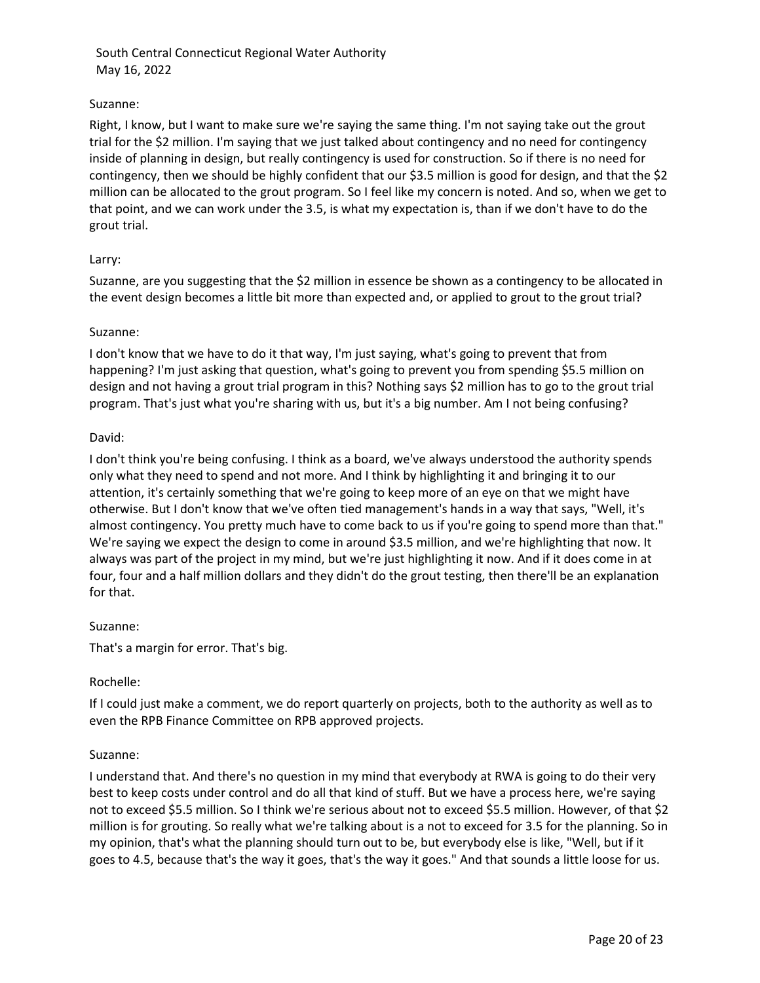# Suzanne:

Right, I know, but I want to make sure we're saying the same thing. I'm not saying take out the grout trial for the \$2 million. I'm saying that we just talked about contingency and no need for contingency inside of planning in design, but really contingency is used for construction. So if there is no need for contingency, then we should be highly confident that our \$3.5 million is good for design, and that the \$2 million can be allocated to the grout program. So I feel like my concern is noted. And so, when we get to that point, and we can work under the 3.5, is what my expectation is, than if we don't have to do the grout trial.

## Larry:

Suzanne, are you suggesting that the \$2 million in essence be shown as a contingency to be allocated in the event design becomes a little bit more than expected and, or applied to grout to the grout trial?

## Suzanne:

I don't know that we have to do it that way, I'm just saying, what's going to prevent that from happening? I'm just asking that question, what's going to prevent you from spending \$5.5 million on design and not having a grout trial program in this? Nothing says \$2 million has to go to the grout trial program. That's just what you're sharing with us, but it's a big number. Am I not being confusing?

## David:

I don't think you're being confusing. I think as a board, we've always understood the authority spends only what they need to spend and not more. And I think by highlighting it and bringing it to our attention, it's certainly something that we're going to keep more of an eye on that we might have otherwise. But I don't know that we've often tied management's hands in a way that says, "Well, it's almost contingency. You pretty much have to come back to us if you're going to spend more than that." We're saying we expect the design to come in around \$3.5 million, and we're highlighting that now. It always was part of the project in my mind, but we're just highlighting it now. And if it does come in at four, four and a half million dollars and they didn't do the grout testing, then there'll be an explanation for that.

#### Suzanne:

That's a margin for error. That's big.

# Rochelle:

If I could just make a comment, we do report quarterly on projects, both to the authority as well as to even the RPB Finance Committee on RPB approved projects.

#### Suzanne:

I understand that. And there's no question in my mind that everybody at RWA is going to do their very best to keep costs under control and do all that kind of stuff. But we have a process here, we're saying not to exceed \$5.5 million. So I think we're serious about not to exceed \$5.5 million. However, of that \$2 million is for grouting. So really what we're talking about is a not to exceed for 3.5 for the planning. So in my opinion, that's what the planning should turn out to be, but everybody else is like, "Well, but if it goes to 4.5, because that's the way it goes, that's the way it goes." And that sounds a little loose for us.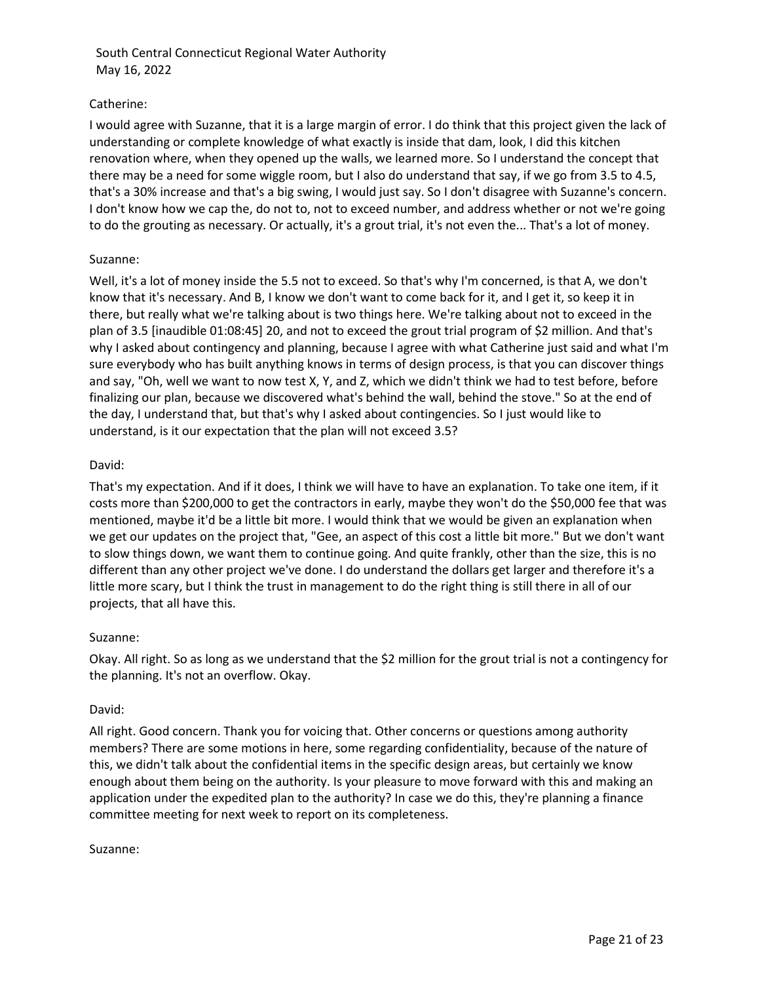# Catherine:

I would agree with Suzanne, that it is a large margin of error. I do think that this project given the lack of understanding or complete knowledge of what exactly is inside that dam, look, I did this kitchen renovation where, when they opened up the walls, we learned more. So I understand the concept that there may be a need for some wiggle room, but I also do understand that say, if we go from 3.5 to 4.5, that's a 30% increase and that's a big swing, I would just say. So I don't disagree with Suzanne's concern. I don't know how we cap the, do not to, not to exceed number, and address whether or not we're going to do the grouting as necessary. Or actually, it's a grout trial, it's not even the... That's a lot of money.

## Suzanne:

Well, it's a lot of money inside the 5.5 not to exceed. So that's why I'm concerned, is that A, we don't know that it's necessary. And B, I know we don't want to come back for it, and I get it, so keep it in there, but really what we're talking about is two things here. We're talking about not to exceed in the plan of 3.5 [inaudible 01:08:45] 20, and not to exceed the grout trial program of \$2 million. And that's why I asked about contingency and planning, because I agree with what Catherine just said and what I'm sure everybody who has built anything knows in terms of design process, is that you can discover things and say, "Oh, well we want to now test X, Y, and Z, which we didn't think we had to test before, before finalizing our plan, because we discovered what's behind the wall, behind the stove." So at the end of the day, I understand that, but that's why I asked about contingencies. So I just would like to understand, is it our expectation that the plan will not exceed 3.5?

## David:

That's my expectation. And if it does, I think we will have to have an explanation. To take one item, if it costs more than \$200,000 to get the contractors in early, maybe they won't do the \$50,000 fee that was mentioned, maybe it'd be a little bit more. I would think that we would be given an explanation when we get our updates on the project that, "Gee, an aspect of this cost a little bit more." But we don't want to slow things down, we want them to continue going. And quite frankly, other than the size, this is no different than any other project we've done. I do understand the dollars get larger and therefore it's a little more scary, but I think the trust in management to do the right thing is still there in all of our projects, that all have this.

#### Suzanne:

Okay. All right. So as long as we understand that the \$2 million for the grout trial is not a contingency for the planning. It's not an overflow. Okay.

#### David:

All right. Good concern. Thank you for voicing that. Other concerns or questions among authority members? There are some motions in here, some regarding confidentiality, because of the nature of this, we didn't talk about the confidential items in the specific design areas, but certainly we know enough about them being on the authority. Is your pleasure to move forward with this and making an application under the expedited plan to the authority? In case we do this, they're planning a finance committee meeting for next week to report on its completeness.

#### Suzanne: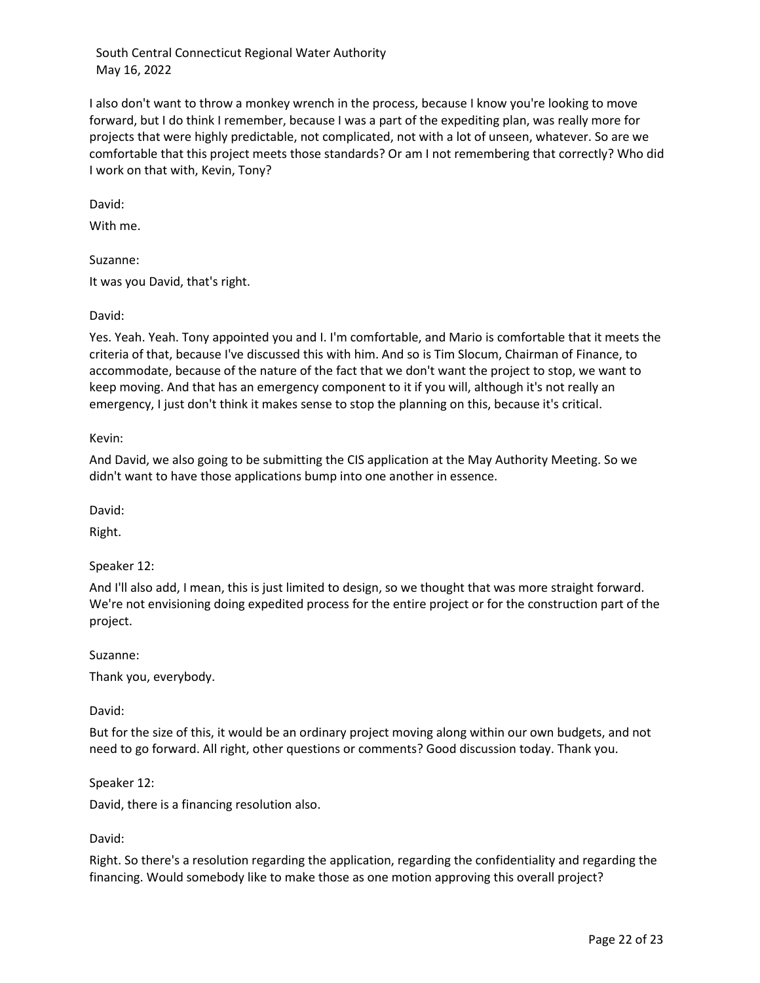I also don't want to throw a monkey wrench in the process, because I know you're looking to move forward, but I do think I remember, because I was a part of the expediting plan, was really more for projects that were highly predictable, not complicated, not with a lot of unseen, whatever. So are we comfortable that this project meets those standards? Or am I not remembering that correctly? Who did I work on that with, Kevin, Tony?

David:

With me.

Suzanne:

It was you David, that's right.

## David:

Yes. Yeah. Yeah. Tony appointed you and I. I'm comfortable, and Mario is comfortable that it meets the criteria of that, because I've discussed this with him. And so is Tim Slocum, Chairman of Finance, to accommodate, because of the nature of the fact that we don't want the project to stop, we want to keep moving. And that has an emergency component to it if you will, although it's not really an emergency, I just don't think it makes sense to stop the planning on this, because it's critical.

Kevin:

And David, we also going to be submitting the CIS application at the May Authority Meeting. So we didn't want to have those applications bump into one another in essence.

David:

Right.

Speaker 12:

And I'll also add, I mean, this is just limited to design, so we thought that was more straight forward. We're not envisioning doing expedited process for the entire project or for the construction part of the project.

Suzanne:

Thank you, everybody.

David:

But for the size of this, it would be an ordinary project moving along within our own budgets, and not need to go forward. All right, other questions or comments? Good discussion today. Thank you.

Speaker 12:

David, there is a financing resolution also.

David:

Right. So there's a resolution regarding the application, regarding the confidentiality and regarding the financing. Would somebody like to make those as one motion approving this overall project?